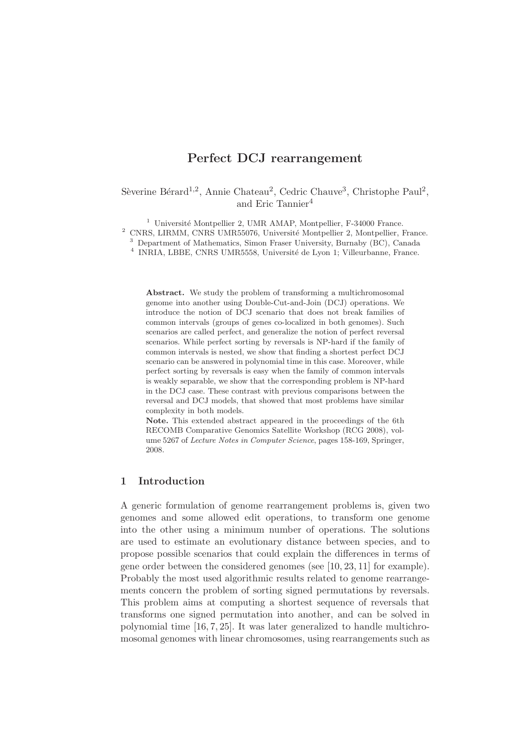# Perfect DCJ rearrangement

Sèverine Bérard<sup>1,2</sup>, Annie Chateau<sup>2</sup>, Cedric Chauve<sup>3</sup>, Christophe Paul<sup>2</sup>, and Eric Tannier<sup>4</sup>

<sup>1</sup> Université Montpellier 2, UMR AMAP, Montpellier, F-34000 France.

<sup>2</sup> CNRS, LIRMM, CNRS UMR55076, Université Montpellier 2, Montpellier, France.

<sup>3</sup> Department of Mathematics, Simon Fraser University, Burnaby (BC), Canada

<sup>4</sup> INRIA, LBBE, CNRS UMR5558, Université de Lyon 1; Villeurbanne, France.

Abstract. We study the problem of transforming a multichromosomal genome into another using Double-Cut-and-Join (DCJ) operations. We introduce the notion of DCJ scenario that does not break families of common intervals (groups of genes co-localized in both genomes). Such scenarios are called perfect, and generalize the notion of perfect reversal scenarios. While perfect sorting by reversals is NP-hard if the family of common intervals is nested, we show that finding a shortest perfect DCJ scenario can be answered in polynomial time in this case. Moreover, while perfect sorting by reversals is easy when the family of common intervals is weakly separable, we show that the corresponding problem is NP-hard in the DCJ case. These contrast with previous comparisons between the reversal and DCJ models, that showed that most problems have similar complexity in both models.

Note. This extended abstract appeared in the proceedings of the 6th RECOMB Comparative Genomics Satellite Workshop (RCG 2008), volume 5267 of Lecture Notes in Computer Science, pages 158-169, Springer, 2008.

# 1 Introduction

A generic formulation of genome rearrangement problems is, given two genomes and some allowed edit operations, to transform one genome into the other using a minimum number of operations. The solutions are used to estimate an evolutionary distance between species, and to propose possible scenarios that could explain the differences in terms of gene order between the considered genomes (see [10, 23, 11] for example). Probably the most used algorithmic results related to genome rearrangements concern the problem of sorting signed permutations by reversals. This problem aims at computing a shortest sequence of reversals that transforms one signed permutation into another, and can be solved in polynomial time [16, 7, 25]. It was later generalized to handle multichromosomal genomes with linear chromosomes, using rearrangements such as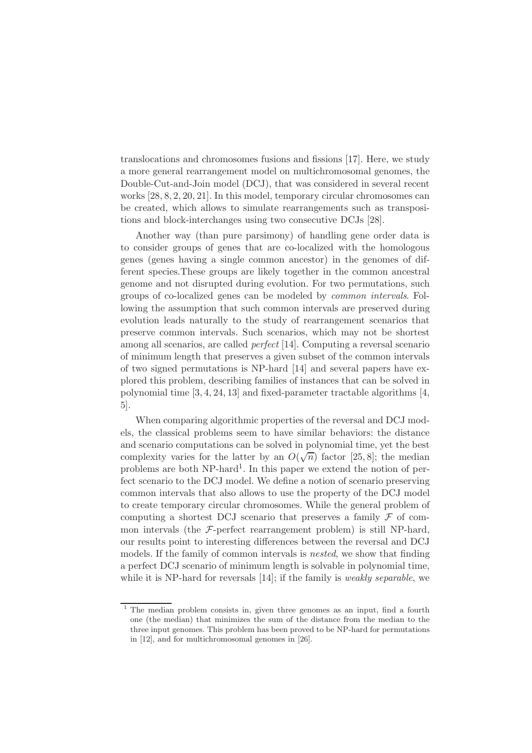translocations and chromosomes fusions and fissions [17]. Here, we study a more general rearrangement model on multichromosomal genomes, the Double-Cut-and-Join model (DCJ), that was considered in several recent works [28, 8, 2, 20, 21]. In this model, temporary circular chromosomes can be created, which allows to simulate rearrangements such as transpositions and block-interchanges using two consecutive DCJs [28].

Another way (than pure parsimony) of handling gene order data is to consider groups of genes that are co-localized with the homologous genes (genes having a single common ancestor) in the genomes of different species.These groups are likely together in the common ancestral genome and not disrupted during evolution. For two permutations, such groups of co-localized genes can be modeled by common intervals. Following the assumption that such common intervals are preserved during evolution leads naturally to the study of rearrangement scenarios that preserve common intervals. Such scenarios, which may not be shortest among all scenarios, are called perfect [14]. Computing a reversal scenario of minimum length that preserves a given subset of the common intervals of two signed permutations is NP-hard [14] and several papers have explored this problem, describing families of instances that can be solved in polynomial time [3, 4, 24, 13] and fixed-parameter tractable algorithms [4, 5].

When comparing algorithmic properties of the reversal and DCJ models, the classical problems seem to have similar behaviors: the distance and scenario computations can be solved in polynomial time, yet the best complexity varies for the latter by an  $O(\sqrt{n})$  factor [25,8]; the median problems are both NP-hard<sup>1</sup>. In this paper we extend the notion of perfect scenario to the DCJ model. We define a notion of scenario preserving common intervals that also allows to use the property of the DCJ model to create temporary circular chromosomes. While the general problem of computing a shortest DCJ scenario that preserves a family  $\mathcal F$  of common intervals (the  $F$ -perfect rearrangement problem) is still NP-hard, our results point to interesting differences between the reversal and DCJ models. If the family of common intervals is nested, we show that finding a perfect DCJ scenario of minimum length is solvable in polynomial time, while it is NP-hard for reversals [14]; if the family is *weakly separable*, we

<sup>&</sup>lt;sup>1</sup> The median problem consists in, given three genomes as an input, find a fourth one (the median) that minimizes the sum of the distance from the median to the three input genomes. This problem has been proved to be NP-hard for permutations in [12], and for multichromosomal genomes in [26].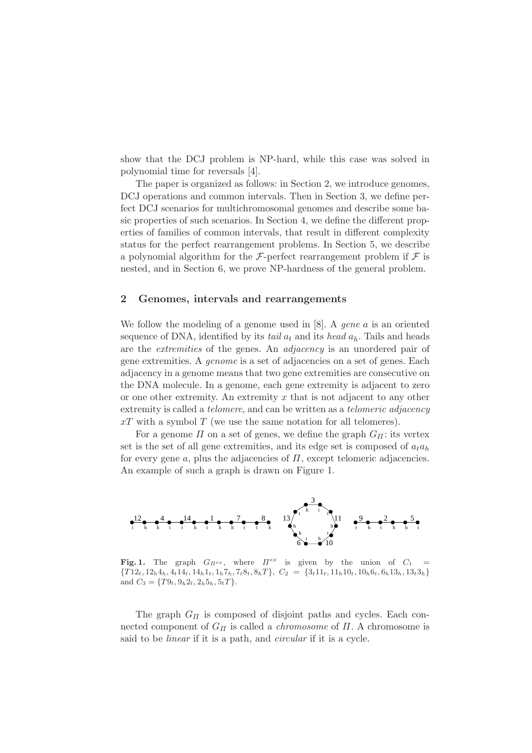show that the DCJ problem is NP-hard, while this case was solved in polynomial time for reversals [4].

The paper is organized as follows: in Section 2, we introduce genomes, DCJ operations and common intervals. Then in Section 3, we define perfect DCJ scenarios for multichromosomal genomes and describe some basic properties of such scenarios. In Section 4, we define the different properties of families of common intervals, that result in different complexity status for the perfect rearrangement problems. In Section 5, we describe a polynomial algorithm for the  $\mathcal{F}\text{-perfect rearrangement problem if }\mathcal{F}\text{ is}$ nested, and in Section 6, we prove NP-hardness of the general problem.

#### 2 Genomes, intervals and rearrangements

We follow the modeling of a genome used in  $[8]$ . A gene a is an oriented sequence of DNA, identified by its tail  $a_t$  and its head  $a_h$ . Tails and heads are the extremities of the genes. An adjacency is an unordered pair of gene extremities. A genome is a set of adjacencies on a set of genes. Each adjacency in a genome means that two gene extremities are consecutive on the DNA molecule. In a genome, each gene extremity is adjacent to zero or one other extremity. An extremity  $x$  that is not adjacent to any other extremity is called a *telomere*, and can be written as a *telomeric adjacency*  $xT$  with a symbol T (we use the same notation for all telomeres).

For a genome  $\Pi$  on a set of genes, we define the graph  $G_{\Pi}$ : its vertex set is the set of all gene extremities, and its edge set is composed of  $a_t a_b$ for every gene a, plus the adjacencies of  $\Pi$ , except telomeric adjacencies. An example of such a graph is drawn on Figure 1.



Fig. 1. The graph  $G_{\Pi^{ex}}$ , where  $\Pi^{ex}$  is given by the union of  $C_1$  ${T12_t, 12_h4_h, 4_t14_t, 14_h1_t, 1_h7_h, 7_t8_t, 8_hT}, C_2 = {3_t11_t, 11_h10_t, 10_h6_t, 6_h13_h, 13_t3_h}$ and  $C_3 = \{T9_t, 9_h2_t, 2_h5_h, 5_tT\}.$ 

The graph  $G_{\Pi}$  is composed of disjoint paths and cycles. Each connected component of  $G_{\Pi}$  is called a *chromosome* of  $\Pi$ . A chromosome is said to be *linear* if it is a path, and *circular* if it is a cycle.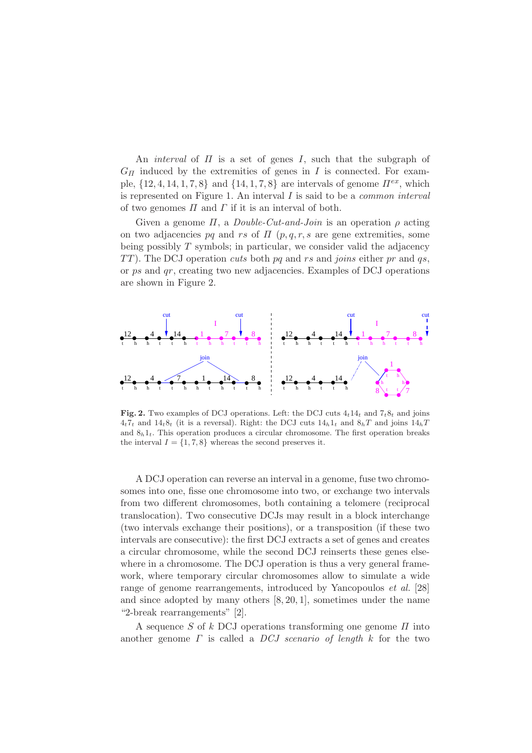An *interval* of  $\Pi$  is a set of genes  $I$ , such that the subgraph of  $G_{\Pi}$  induced by the extremities of genes in I is connected. For example,  $\{12, 4, 14, 1, 7, 8\}$  and  $\{14, 1, 7, 8\}$  are intervals of genome  $\Pi^{ex}$ , which is represented on Figure 1. An interval  $I$  is said to be a *common interval* of two genomes  $\Pi$  and  $\Gamma$  if it is an interval of both.

Given a genome  $\Pi$ , a Double-Cut-and-Join is an operation  $\rho$  acting on two adjacencies pq and rs of  $\Pi$  (p, q, r, s are gene extremities, some being possibly  $T$  symbols; in particular, we consider valid the adjacency  $TT$ ). The DCJ operation cuts both pq and rs and joins either pr and qs, or ps and qr, creating two new adjacencies. Examples of DCJ operations are shown in Figure 2.



Fig. 2. Two examples of DCJ operations. Left: the DCJ cuts  $4_t14_t$  and  $7_t8_t$  and joins  $4t_7t$  and  $14t_8t$  (it is a reversal). Right: the DCJ cuts  $14<sub>h</sub>1<sub>t</sub>$  and  $8<sub>h</sub>T$  and joins  $14<sub>h</sub>T$ and  $8_h 1_t$ . This operation produces a circular chromosome. The first operation breaks the interval  $I = \{1, 7, 8\}$  whereas the second preserves it.

A DCJ operation can reverse an interval in a genome, fuse two chromosomes into one, fisse one chromosome into two, or exchange two intervals from two different chromosomes, both containing a telomere (reciprocal translocation). Two consecutive DCJs may result in a block interchange (two intervals exchange their positions), or a transposition (if these two intervals are consecutive): the first DCJ extracts a set of genes and creates a circular chromosome, while the second DCJ reinserts these genes elsewhere in a chromosome. The DCJ operation is thus a very general framework, where temporary circular chromosomes allow to simulate a wide range of genome rearrangements, introduced by Yancopoulos *et al.* [28] and since adopted by many others [8, 20, 1], sometimes under the name "2-break rearrangements" [2].

A sequence S of k DCJ operations transforming one genome  $\Pi$  into another genome  $\Gamma$  is called a DCJ scenario of length k for the two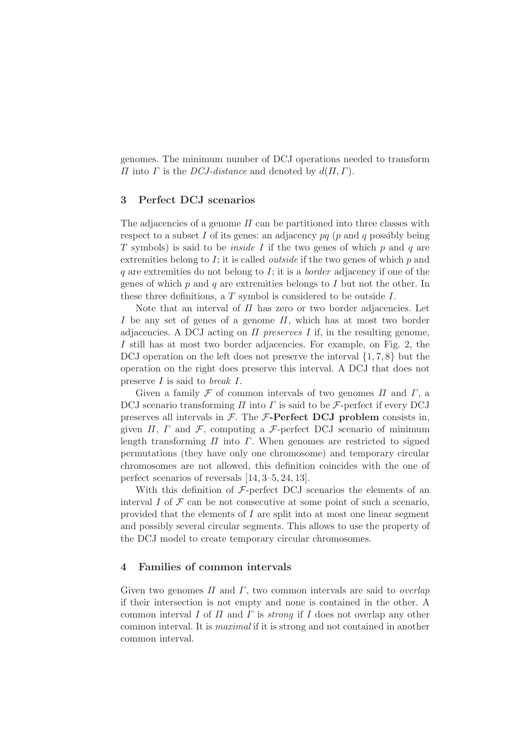genomes. The minimum number of DCJ operations needed to transform  $\Pi$  into  $\Gamma$  is the DCJ-distance and denoted by  $d(\Pi, \Gamma)$ .

## 3 Perfect DCJ scenarios

The adjacencies of a genome  $\Pi$  can be partitioned into three classes with respect to a subset I of its genes: an adjacency  $pq$  (p and q possibly being T symbols) is said to be *inside I* if the two genes of which p and q are extremities belong to  $I$ ; it is called *outside* if the two genes of which  $p$  and q are extremities do not belong to  $I$ ; it is a *border* adjacency if one of the genes of which  $p$  and  $q$  are extremities belongs to  $I$  but not the other. In these three definitions, a  $T$  symbol is considered to be outside  $I$ .

Note that an interval of  $\Pi$  has zero or two border adjacencies. Let I be any set of genes of a genome  $\Pi$ , which has at most two border adjacencies. A DCJ acting on  $\Pi$  preserves  $I$  if, in the resulting genome, I still has at most two border adjacencies. For example, on Fig. 2, the DCJ operation on the left does not preserve the interval  $\{1, 7, 8\}$  but the operation on the right does preserve this interval. A DCJ that does not preserve  $I$  is said to *break*  $I$ .

Given a family F of common intervals of two genomes  $\Pi$  and  $\Gamma$ , a DCJ scenario transforming  $\Pi$  into  $\Gamma$  is said to be  $\mathcal{F}\text{-perfect}$  if every DCJ preserves all intervals in  $\mathcal{F}$ . The  $\mathcal{F}$ -Perfect DCJ problem consists in, given  $\Pi$ ,  $\Gamma$  and  $\mathcal F$ , computing a  $\mathcal F$ -perfect DCJ scenario of minimum length transforming  $\Pi$  into  $\Gamma$ . When genomes are restricted to signed permutations (they have only one chromosome) and temporary circular chromosomes are not allowed, this definition coincides with the one of perfect scenarios of reversals [14, 3–5, 24, 13].

With this definition of  $F$ -perfect DCJ scenarios the elements of an interval  $I$  of  $\mathcal F$  can be not consecutive at some point of such a scenario, provided that the elements of  $I$  are split into at most one linear segment and possibly several circular segments. This allows to use the property of the DCJ model to create temporary circular chromosomes.

#### 4 Families of common intervals

Given two genomes  $\Pi$  and  $\Gamma$ , two common intervals are said to *overlap* if their intersection is not empty and none is contained in the other. A common interval I of  $\Pi$  and  $\Gamma$  is *strong* if I does not overlap any other common interval. It is maximal if it is strong and not contained in another common interval.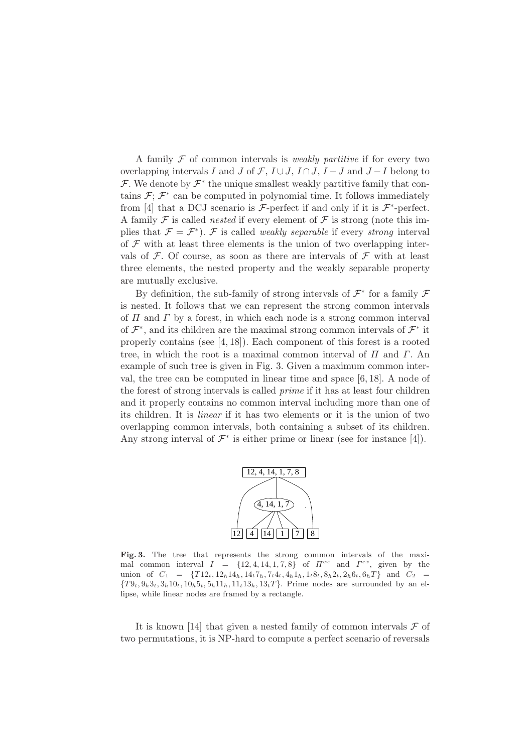A family  $\mathcal F$  of common intervals is *weakly partitive* if for every two overlapping intervals I and J of F,  $I \cup J$ ,  $I \cap J$ ,  $I - J$  and  $J - I$  belong to  $\mathcal{F}$ . We denote by  $\mathcal{F}^*$  the unique smallest weakly partitive family that contains  $\mathcal{F}; \, \mathcal{F}^*$  can be computed in polynomial time. It follows immediately from [4] that a DCJ scenario is  $\mathcal{F}$ -perfect if and only if it is  $\mathcal{F}^*$ -perfect. A family  $\mathcal F$  is called *nested* if every element of  $\mathcal F$  is strong (note this implies that  $\mathcal{F} = \mathcal{F}^*$ .  $\mathcal{F}$  is called *weakly separable* if every *strong* interval of  $F$  with at least three elements is the union of two overlapping intervals of  $\mathcal F$ . Of course, as soon as there are intervals of  $\mathcal F$  with at least three elements, the nested property and the weakly separable property are mutually exclusive.

By definition, the sub-family of strong intervals of  $\mathcal{F}^*$  for a family  $\mathcal F$ is nested. It follows that we can represent the strong common intervals of  $\Pi$  and  $\Gamma$  by a forest, in which each node is a strong common interval of  $\mathcal{F}^*$ , and its children are the maximal strong common intervals of  $\mathcal{F}^*$  it properly contains (see [4, 18]). Each component of this forest is a rooted tree, in which the root is a maximal common interval of  $\Pi$  and  $\Gamma$ . An example of such tree is given in Fig. 3. Given a maximum common interval, the tree can be computed in linear time and space [6, 18]. A node of the forest of strong intervals is called prime if it has at least four children and it properly contains no common interval including more than one of its children. It is linear if it has two elements or it is the union of two overlapping common intervals, both containing a subset of its children. Any strong interval of  $\mathcal{F}^*$  is either prime or linear (see for instance [4]).



Fig. 3. The tree that represents the strong common intervals of the maximal common interval  $I = \{12, 4, 14, 1, 7, 8\}$  of  $\Pi^{ex}$  and  $\Gamma^{ex}$ , given by the union of  $C_1 = \{T12_t, 12_h14_h, 14_t7_h, 7_t4_t, 4_h1_h, 1_t8_t, 8_h2_t, 2_h6_t, 6_hT\}$  and  $C_2 =$  ${T9t, 9h3t, 3h10t, 10h5t, 5h11h, 11t13h, 13tT}.$  Prime nodes are surrounded by an ellipse, while linear nodes are framed by a rectangle.

It is known [14] that given a nested family of common intervals  $\mathcal F$  of two permutations, it is NP-hard to compute a perfect scenario of reversals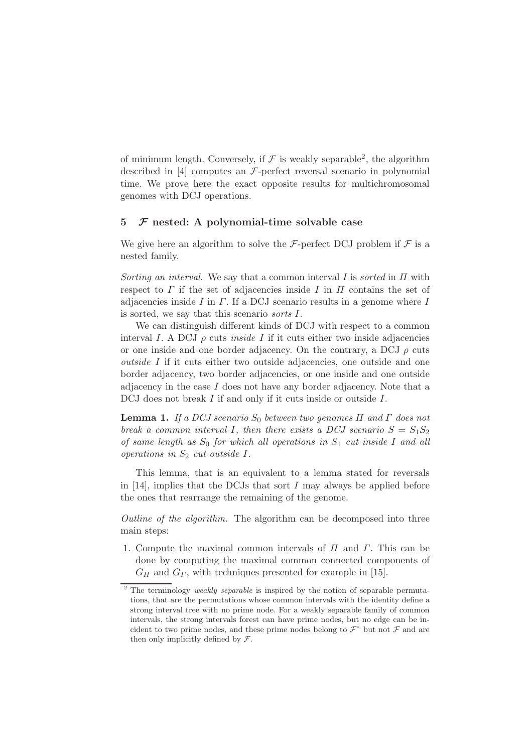of minimum length. Conversely, if  $\mathcal F$  is weakly separable<sup>2</sup>, the algorithm described in  $[4]$  computes an  $\mathcal{F}\text{-perfect reversal scenario in polynomial}$ time. We prove here the exact opposite results for multichromosomal genomes with DCJ operations.

# 5  $\mathcal F$  nested: A polynomial-time solvable case

We give here an algorithm to solve the  $\mathcal{F}\text{-perfect DCJ}$  problem if  $\mathcal F$  is a nested family.

Sorting an interval. We say that a common interval I is sorted in  $\Pi$  with respect to  $\Gamma$  if the set of adjacencies inside I in  $\Pi$  contains the set of adjacencies inside I in  $\Gamma$ . If a DCJ scenario results in a genome where I is sorted, we say that this scenario sorts I.

We can distinguish different kinds of DCJ with respect to a common interval I. A DCJ  $\rho$  cuts *inside I* if it cuts either two inside adjacencies or one inside and one border adjacency. On the contrary, a DCJ  $\rho$  cuts outside I if it cuts either two outside adjacencies, one outside and one border adjacency, two border adjacencies, or one inside and one outside adjacency in the case  $I$  does not have any border adjacency. Note that a DCJ does not break I if and only if it cuts inside or outside I.

**Lemma 1.** If a DCJ scenario  $S_0$  between two genomes  $\Pi$  and  $\Gamma$  does not break a common interval I, then there exists a DCJ scenario  $S = S_1S_2$ of same length as  $S_0$  for which all operations in  $S_1$  cut inside I and all operations in  $S_2$  cut outside I.

This lemma, that is an equivalent to a lemma stated for reversals in  $[14]$ , implies that the DCJs that sort I may always be applied before the ones that rearrange the remaining of the genome.

Outline of the algorithm. The algorithm can be decomposed into three main steps:

1. Compute the maximal common intervals of  $\Pi$  and  $\Gamma$ . This can be done by computing the maximal common connected components of  $G_{\Pi}$  and  $G_{\Gamma}$ , with techniques presented for example in [15].

<sup>&</sup>lt;sup>2</sup> The terminology *weakly separable* is inspired by the notion of separable permutations, that are the permutations whose common intervals with the identity define a strong interval tree with no prime node. For a weakly separable family of common intervals, the strong intervals forest can have prime nodes, but no edge can be incident to two prime nodes, and these prime nodes belong to  $\mathcal{F}^*$  but not  $\mathcal F$  and are then only implicitly defined by  $\mathcal{F}.$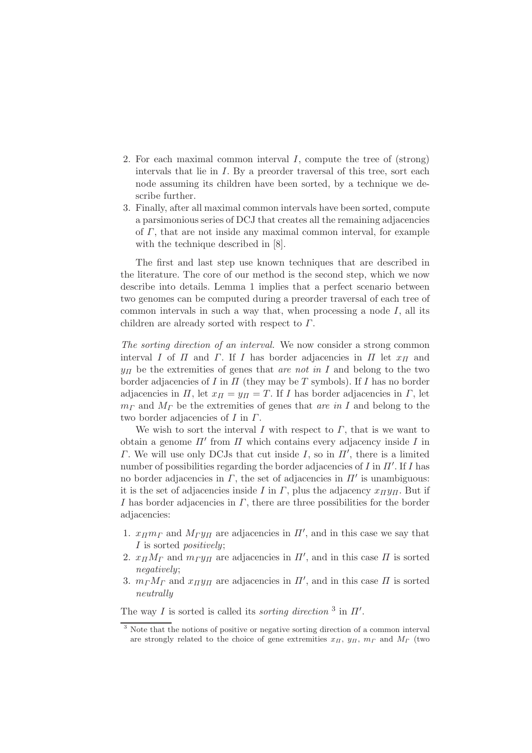- 2. For each maximal common interval I, compute the tree of (strong) intervals that lie in I. By a preorder traversal of this tree, sort each node assuming its children have been sorted, by a technique we describe further.
- 3. Finally, after all maximal common intervals have been sorted, compute a parsimonious series of DCJ that creates all the remaining adjacencies of  $\Gamma$ , that are not inside any maximal common interval, for example with the technique described in [8].

The first and last step use known techniques that are described in the literature. The core of our method is the second step, which we now describe into details. Lemma 1 implies that a perfect scenario between two genomes can be computed during a preorder traversal of each tree of common intervals in such a way that, when processing a node  $I$ , all its children are already sorted with respect to  $\Gamma$ .

The sorting direction of an interval. We now consider a strong common interval I of  $\Pi$  and  $\Gamma$ . If I has border adjacencies in  $\Pi$  let  $x_{\Pi}$  and  $y_{\text{H}}$  be the extremities of genes that are not in I and belong to the two border adjacencies of I in  $\Pi$  (they may be T symbols). If I has no border adjacencies in  $\Pi$ , let  $x_{\Pi} = y_{\Pi} = T$ . If I has border adjacencies in  $\Gamma$ , let  $m<sub>Γ</sub>$  and  $M<sub>Γ</sub>$  be the extremities of genes that are in I and belong to the two border adjacencies of  $I$  in  $\Gamma$ .

We wish to sort the interval I with respect to  $\Gamma$ , that is we want to obtain a genome  $\Pi'$  from  $\Pi$  which contains every adjacency inside  $I$  in  $\Gamma$ . We will use only DCJs that cut inside  $I$ , so in  $\Pi'$ , there is a limited number of possibilities regarding the border adjacencies of I in  $\Pi'$ . If I has no border adjacencies in  $\overline{\Gamma}$ , the set of adjacencies in  $\Pi'$  is unambiguous: it is the set of adjacencies inside I in  $\Gamma$ , plus the adjacency  $x_{\Pi}y_{\Pi}$ . But if I has border adjacencies in  $\Gamma$ , there are three possibilities for the border adjacencies:

- 1.  $x_{\Pi}m_{\Gamma}$  and  $M_{\Gamma}y_{\Pi}$  are adjacencies in  $\Pi'$ , and in this case we say that I is sorted *positively*;
- 2.  $x_{\Pi}M_{\Gamma}$  and  $m_{\Gamma}y_{\Pi}$  are adjacencies in  $\Pi'$ , and in this case  $\Pi$  is sorted negatively;
- 3.  $m_{\Gamma} M_{\Gamma}$  and  $x_{\Pi} y_{\Pi}$  are adjacencies in  $\Pi'$ , and in this case  $\Pi$  is sorted neutrally

The way I is sorted is called its *sorting direction*  $3$  in  $\Pi'$ .

<sup>&</sup>lt;sup>3</sup> Note that the notions of positive or negative sorting direction of a common interval are strongly related to the choice of gene extremities  $x_{\Pi}$ ,  $y_{\Pi}$ ,  $m_{\Gamma}$  and  $M_{\Gamma}$  (two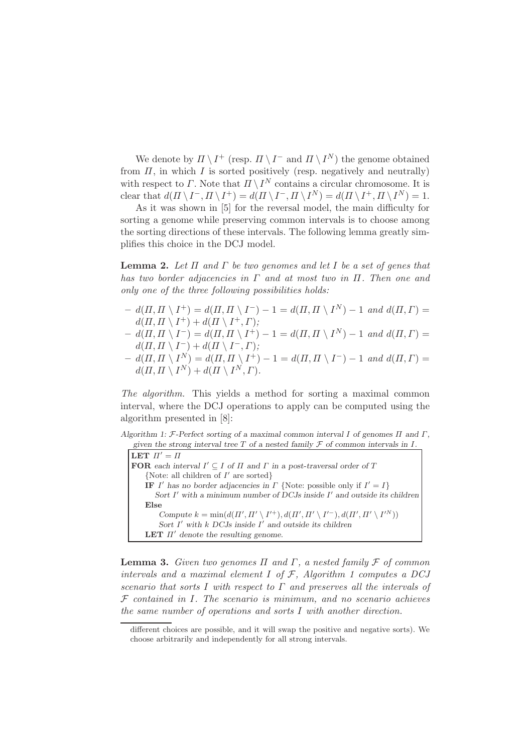We denote by  $\Pi \setminus I^+$  (resp.  $\Pi \setminus I^-$  and  $\Pi \setminus I^N$ ) the genome obtained from  $\Pi$ , in which I is sorted positively (resp. negatively and neutrally) with respect to  $\Gamma$ . Note that  $\Pi \setminus I^N$  contains a circular chromosome. It is clear that  $d(\Pi \setminus I^-, \Pi \setminus I^+) = d(\Pi \setminus I^-, \Pi \setminus I^N) = d(\Pi \setminus I^+, \Pi \setminus I^N) = 1$ .

As it was shown in [5] for the reversal model, the main difficulty for sorting a genome while preserving common intervals is to choose among the sorting directions of these intervals. The following lemma greatly simplifies this choice in the DCJ model.

**Lemma 2.** Let  $\Pi$  and  $\Gamma$  be two genomes and let  $I$  be a set of genes that has two border adjacencies in  $\Gamma$  and at most two in  $\Pi$ . Then one and only one of the three following possibilities holds:

- $d(\Pi, \Pi \setminus I^+) = d(\Pi, \Pi \setminus I^-) 1 = d(\Pi, \Pi \setminus I^N) 1$  and  $d(\Pi, \Gamma) =$  $d(\Pi, \Pi \setminus I^+) + d(\Pi \setminus I^+, \Gamma);$  $- d(\Pi, \Pi \setminus I^-) = d(\Pi, \Pi \setminus I^+) - 1 = d(\Pi, \Pi \setminus I^N) - 1$  and  $d(\Pi, \Gamma) =$
- $d(\Pi, \Pi \setminus I^-) + d(\Pi \setminus I^-, \Gamma);$
- $d(\Pi, \Pi \setminus I^N) = d(\Pi, \Pi \setminus I^+) 1 = d(\Pi, \Pi \setminus I^-) 1$  and  $d(\Pi, \Gamma) =$  $d(\Pi, \Pi \setminus I^N) + d(\Pi \setminus I^N, \Gamma).$

The algorithm. This yields a method for sorting a maximal common interval, where the DCJ operations to apply can be computed using the algorithm presented in [8]:

Algorithm 1: F-Perfect sorting of a maximal common interval I of genomes  $\Pi$  and  $\Gamma$ , given the strong interval tree  $T$  of a nested family  $\mathcal F$  of common intervals in  $I$ .

LET  $\Pi' = \Pi$ FOR each interval  $I' \subseteq I$  of  $\overline{II}$  and  $\overline{I'}$  in a post-traversal order of  $\overline{T}$ {Note: all children of  $I'$  are sorted} **IF** I' has no border adjacencies in  $\Gamma$  {Note: possible only if  $I' = I$ } Sort  $I'$  with a minimum number of DCJs inside  $I'$  and outside its children Else Compute  $k = \min(d(\Pi', \Pi' \setminus I'^+), d(\Pi', \Pi' \setminus I'^-), d(\Pi', \Pi' \setminus I'^N))$ Sort  $I'$  with  $k$  DCJs inside  $I'$  and outside its children **LET**  $\Pi'$  denote the resulting genome.

**Lemma 3.** Given two genomes  $\Pi$  and  $\Gamma$ , a nested family  $\mathcal F$  of common intervals and a maximal element  $I$  of  $\mathcal{F}$ , Algorithm 1 computes a DCJ scenario that sorts I with respect to  $\Gamma$  and preserves all the intervals of  $F$  contained in  $I$ . The scenario is minimum, and no scenario achieves the same number of operations and sorts I with another direction.

different choices are possible, and it will swap the positive and negative sorts). We choose arbitrarily and independently for all strong intervals.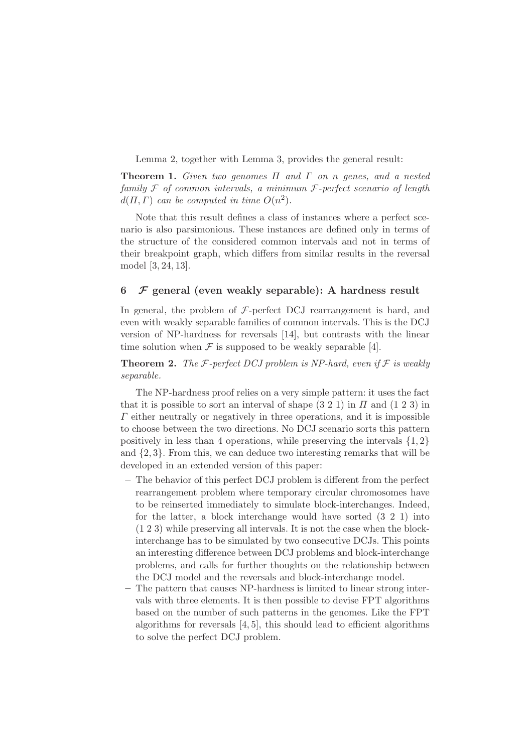Lemma 2, together with Lemma 3, provides the general result:

**Theorem 1.** Given two genomes  $\Pi$  and  $\Gamma$  on n genes, and a nested family  $F$  of common intervals, a minimum  $F$ -perfect scenario of length  $d(\Pi, \Gamma)$  can be computed in time  $O(n^2)$ .

Note that this result defines a class of instances where a perfect scenario is also parsimonious. These instances are defined only in terms of the structure of the considered common intervals and not in terms of their breakpoint graph, which differs from similar results in the reversal model [3, 24, 13].

# 6  $\mathcal F$  general (even weakly separable): A hardness result

In general, the problem of  $\mathcal{F}\text{-perfect DCJ rearrangement}$  is hard, and even with weakly separable families of common intervals. This is the DCJ version of NP-hardness for reversals [14], but contrasts with the linear time solution when  $\mathcal F$  is supposed to be weakly separable [4].

**Theorem 2.** The F-perfect DCJ problem is NP-hard, even if  $F$  is weakly separable.

The NP-hardness proof relies on a very simple pattern: it uses the fact that it is possible to sort an interval of shape  $(3\ 2\ 1)$  in  $\Pi$  and  $(1\ 2\ 3)$  in  $\Gamma$  either neutrally or negatively in three operations, and it is impossible to choose between the two directions. No DCJ scenario sorts this pattern positively in less than 4 operations, while preserving the intervals  $\{1, 2\}$ and {2, 3}. From this, we can deduce two interesting remarks that will be developed in an extended version of this paper:

- The behavior of this perfect DCJ problem is different from the perfect rearrangement problem where temporary circular chromosomes have to be reinserted immediately to simulate block-interchanges. Indeed, for the latter, a block interchange would have sorted (3 2 1) into (1 2 3) while preserving all intervals. It is not the case when the blockinterchange has to be simulated by two consecutive DCJs. This points an interesting difference between DCJ problems and block-interchange problems, and calls for further thoughts on the relationship between the DCJ model and the reversals and block-interchange model.
- The pattern that causes NP-hardness is limited to linear strong intervals with three elements. It is then possible to devise FPT algorithms based on the number of such patterns in the genomes. Like the FPT algorithms for reversals [4, 5], this should lead to efficient algorithms to solve the perfect DCJ problem.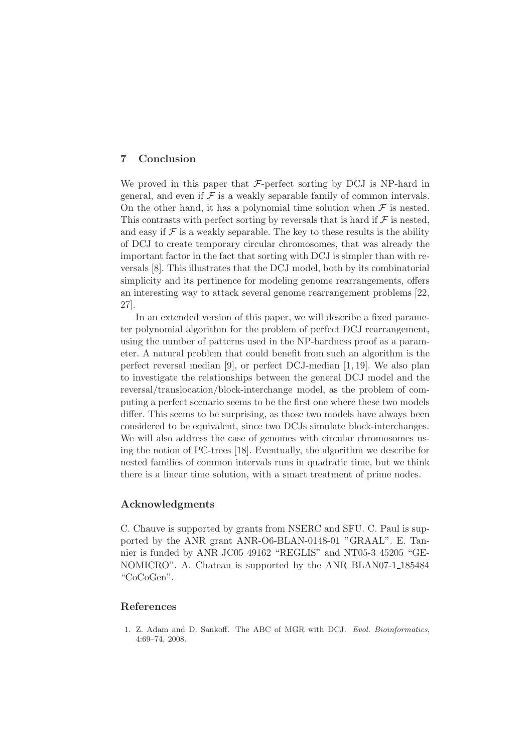# 7 Conclusion

We proved in this paper that  $\mathcal{F}\text{-perfect sorting}$  by DCJ is NP-hard in general, and even if  $\mathcal F$  is a weakly separable family of common intervals. On the other hand, it has a polynomial time solution when  $\mathcal F$  is nested. This contrasts with perfect sorting by reversals that is hard if  $\mathcal F$  is nested, and easy if  $\mathcal F$  is a weakly separable. The key to these results is the ability of DCJ to create temporary circular chromosomes, that was already the important factor in the fact that sorting with DCJ is simpler than with reversals [8]. This illustrates that the DCJ model, both by its combinatorial simplicity and its pertinence for modeling genome rearrangements, offers an interesting way to attack several genome rearrangement problems [22, 27].

In an extended version of this paper, we will describe a fixed parameter polynomial algorithm for the problem of perfect DCJ rearrangement, using the number of patterns used in the NP-hardness proof as a parameter. A natural problem that could benefit from such an algorithm is the perfect reversal median [9], or perfect DCJ-median [1, 19]. We also plan to investigate the relationships between the general DCJ model and the reversal/translocation/block-interchange model, as the problem of computing a perfect scenario seems to be the first one where these two models differ. This seems to be surprising, as those two models have always been considered to be equivalent, since two DCJs simulate block-interchanges. We will also address the case of genomes with circular chromosomes using the notion of PC-trees [18]. Eventually, the algorithm we describe for nested families of common intervals runs in quadratic time, but we think there is a linear time solution, with a smart treatment of prime nodes.

#### Acknowledgments

C. Chauve is supported by grants from NSERC and SFU. C. Paul is supported by the ANR grant ANR-O6-BLAN-0148-01 "GRAAL". E. Tannier is funded by ANR JC05 49162 "REGLIS" and NT05-3 45205 "GE-NOMICRO". A. Chateau is supported by the ANR BLAN07-1\_185484 "CoCoGen".

### References

1. Z. Adam and D. Sankoff. The ABC of MGR with DCJ. Evol. Bioinformatics, 4:69–74, 2008.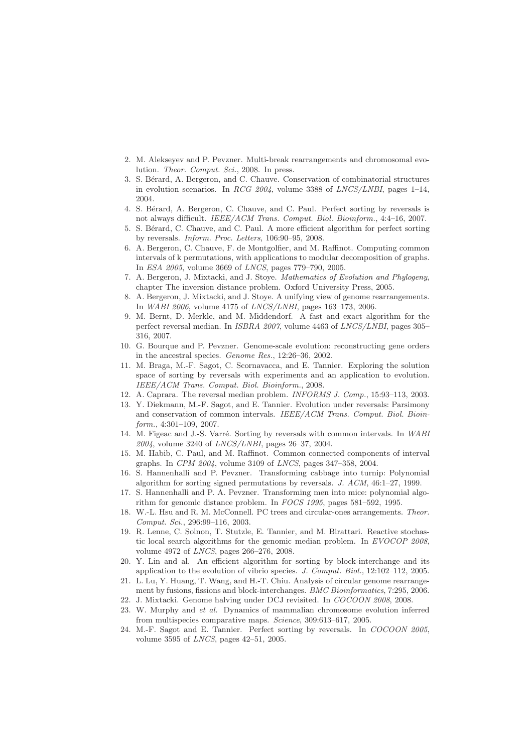- 2. M. Alekseyev and P. Pevzner. Multi-break rearrangements and chromosomal evolution. Theor. Comput. Sci., 2008. In press.
- 3. S. B´erard, A. Bergeron, and C. Chauve. Conservation of combinatorial structures in evolution scenarios. In RCG 2004, volume 3388 of LNCS/LNBI, pages 1–14, 2004.
- 4. S. B´erard, A. Bergeron, C. Chauve, and C. Paul. Perfect sorting by reversals is not always difficult. IEEE/ACM Trans. Comput. Biol. Bioinform., 4:4–16, 2007.
- 5. S. B´erard, C. Chauve, and C. Paul. A more efficient algorithm for perfect sorting by reversals. Inform. Proc. Letters, 106:90–95, 2008.
- 6. A. Bergeron, C. Chauve, F. de Montgolfier, and M. Raffinot. Computing common intervals of k permutations, with applications to modular decomposition of graphs. In ESA 2005, volume 3669 of LNCS, pages 779–790, 2005.
- 7. A. Bergeron, J. Mixtacki, and J. Stoye. Mathematics of Evolution and Phylogeny, chapter The inversion distance problem. Oxford University Press, 2005.
- 8. A. Bergeron, J. Mixtacki, and J. Stoye. A unifying view of genome rearrangements. In WABI 2006, volume 4175 of LNCS/LNBI, pages 163–173, 2006.
- 9. M. Bernt, D. Merkle, and M. Middendorf. A fast and exact algorithm for the perfect reversal median. In ISBRA 2007, volume 4463 of LNCS/LNBI, pages 305– 316, 2007.
- 10. G. Bourque and P. Pevzner. Genome-scale evolution: reconstructing gene orders in the ancestral species. Genome Res., 12:26–36, 2002.
- 11. M. Braga, M.-F. Sagot, C. Scornavacca, and E. Tannier. Exploring the solution space of sorting by reversals with experiments and an application to evolution. IEEE/ACM Trans. Comput. Biol. Bioinform., 2008.
- 12. A. Caprara. The reversal median problem. INFORMS J. Comp., 15:93–113, 2003.
- 13. Y. Diekmann, M.-F. Sagot, and E. Tannier. Evolution under reversals: Parsimony and conservation of common intervals. IEEE/ACM Trans. Comput. Biol. Bioinform., 4:301–109, 2007.
- 14. M. Figeac and J.-S. Varré. Sorting by reversals with common intervals. In WABI 2004, volume 3240 of LNCS/LNBI, pages 26–37, 2004.
- 15. M. Habib, C. Paul, and M. Raffinot. Common connected components of interval graphs. In CPM 2004, volume 3109 of LNCS, pages 347–358, 2004.
- 16. S. Hannenhalli and P. Pevzner. Transforming cabbage into turnip: Polynomial algorithm for sorting signed permutations by reversals. J. ACM, 46:1–27, 1999.
- 17. S. Hannenhalli and P. A. Pevzner. Transforming men into mice: polynomial algorithm for genomic distance problem. In FOCS 1995, pages 581–592, 1995.
- 18. W.-L. Hsu and R. M. McConnell. PC trees and circular-ones arrangements. Theor. Comput. Sci., 296:99–116, 2003.
- 19. R. Lenne, C. Solnon, T. Stutzle, E. Tannier, and M. Birattari. Reactive stochastic local search algorithms for the genomic median problem. In EVOCOP 2008, volume 4972 of LNCS, pages 266–276, 2008.
- 20. Y. Lin and al. An efficient algorithm for sorting by block-interchange and its application to the evolution of vibrio species. J. Comput. Biol., 12:102–112, 2005.
- 21. L. Lu, Y. Huang, T. Wang, and H.-T. Chiu. Analysis of circular genome rearrangement by fusions, fissions and block-interchanges. BMC Bioinformatics, 7:295, 2006.
- 22. J. Mixtacki. Genome halving under DCJ revisited. In COCOON 2008, 2008.
- 23. W. Murphy and et al. Dynamics of mammalian chromosome evolution inferred from multispecies comparative maps. Science, 309:613–617, 2005.
- 24. M.-F. Sagot and E. Tannier. Perfect sorting by reversals. In COCOON 2005, volume 3595 of LNCS, pages 42–51, 2005.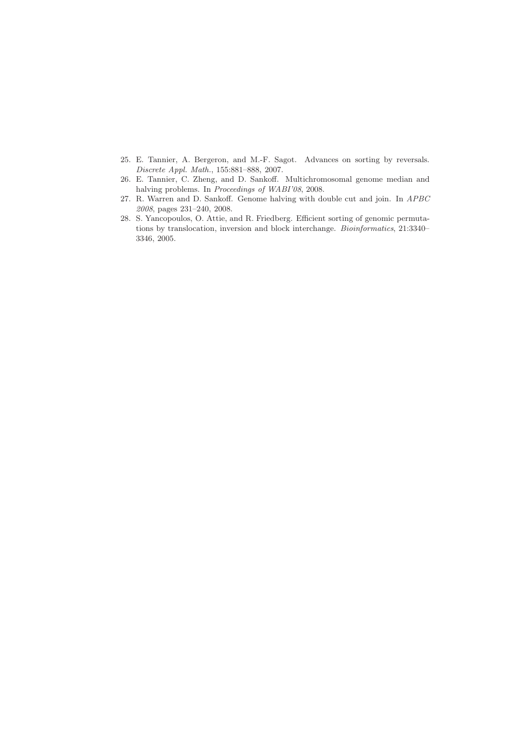- 25. E. Tannier, A. Bergeron, and M.-F. Sagot. Advances on sorting by reversals. Discrete Appl. Math., 155:881–888, 2007.
- 26. E. Tannier, C. Zheng, and D. Sankoff. Multichromosomal genome median and halving problems. In Proceedings of WABI'08, 2008.
- 27. R. Warren and D. Sankoff. Genome halving with double cut and join. In APBC 2008, pages 231–240, 2008.
- 28. S. Yancopoulos, O. Attie, and R. Friedberg. Efficient sorting of genomic permutations by translocation, inversion and block interchange. Bioinformatics, 21:3340– 3346, 2005.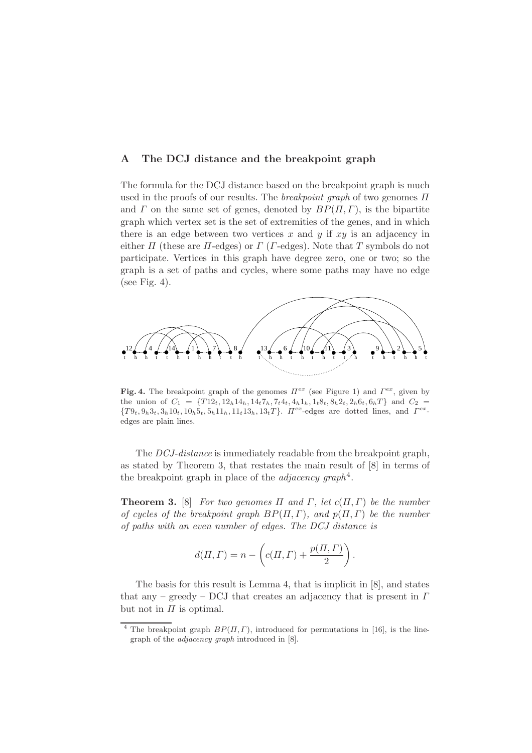## A The DCJ distance and the breakpoint graph

The formula for the DCJ distance based on the breakpoint graph is much used in the proofs of our results. The *breakpoint graph* of two genomes  $\Pi$ and  $\Gamma$  on the same set of genes, denoted by  $BP(\Pi, \Gamma)$ , is the bipartite graph which vertex set is the set of extremities of the genes, and in which there is an edge between two vertices x and y if  $xy$  is an adjacency in either  $\Pi$  (these are  $\Pi$ -edges) or  $\Gamma$  ( $\Gamma$ -edges). Note that  $T$  symbols do not participate. Vertices in this graph have degree zero, one or two; so the graph is a set of paths and cycles, where some paths may have no edge (see Fig. 4).



Fig. 4. The breakpoint graph of the genomes  $\Pi^{ex}$  (see Figure 1) and  $\Gamma^{ex}$ , given by the union of  $C_1 = \{T12_t, 12_h14_h, 14_t7_h, 7_t4_t, 4_h1_h, 1_t8_t, 8_h2_t, 2_h6_t, 6_hT\}$  and  $C_2 =$  $\{T9t, 9h3t, 3h10t, 10h5t, 5h11h, 11t13h, 13tT\}$ .  $\Pi^{ex}$ -edges are dotted lines, and  $\Gamma^{ex}$ edges are plain lines.

The DCJ-distance is immediately readable from the breakpoint graph, as stated by Theorem 3, that restates the main result of [8] in terms of the breakpoint graph in place of the *adjacency graph*<sup>4</sup>.

**Theorem 3.** [8] For two genomes  $\Pi$  and  $\Gamma$ , let  $c(\Pi, \Gamma)$  be the number of cycles of the breakpoint graph  $BP(\Pi, \Gamma)$ , and  $p(\Pi, \Gamma)$  be the number of paths with an even number of edges. The DCJ distance is

$$
d(\Pi,\Gamma) = n - \left(c(\Pi,\Gamma) + \frac{p(\Pi,\Gamma)}{2}\right).
$$

The basis for this result is Lemma 4, that is implicit in [8], and states that any – greedy – DCJ that creates an adjacency that is present in  $\Gamma$ but not in  $\Pi$  is optimal.

<sup>&</sup>lt;sup>4</sup> The breakpoint graph  $BP(\Pi, \Gamma)$ , introduced for permutations in [16], is the linegraph of the adjacency graph introduced in [8].